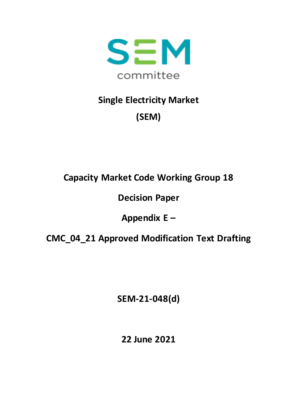

# **Single Electricity Market (SEM)**

### **Capacity Market Code Working Group 18**

#### **Decision Paper**

## **Appendix E –**

#### **CMC\_04\_21 Approved Modification Text Drafting**

**SEM-21-048(d)**

**22 June 2021**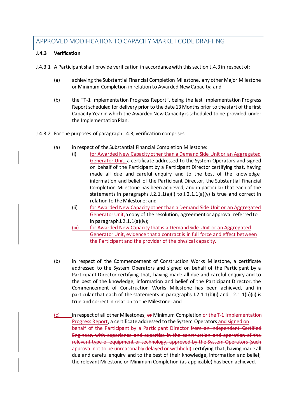#### APPROVED MODIFICATION TO CAPACITY MARKET CODE DRAFTING

#### **J.4.3 Verification**

J.4.3.1 A Participant shall provide verification in accordance with this section J.4.3 in respect of:

- (a) achieving the Substantial Financial Completion Milestone, any other Major Milestone or Minimum Completion in relation to Awarded New Capacity; and
- (b) the "T-1 Implementation Progress Report", being the last Implementation Progress Report scheduled for delivery prior to the date 13 Months prior to the start of the first Capacity Year in which the Awarded New Capacity is scheduled to be provided under the Implementation Plan.
- J.4.3.2 For the purposes of paragraph J.4.3, verification comprises:
	- (a) in respect of the Substantial Financial Completion Milestone:
		- (i) for Awarded New Capacity other than a Demand Side Unit or an Aggregated Generator Unit, a certificate addressed to the System Operators and signed on behalf of the Participant by a Participant Director certifying that, having made all due and careful enquiry and to the best of the knowledge, information and belief of the Participant Director, the Substantial Financial Completion Milestone has been achieved, and in particular that each of the statements in paragraphs J.2.1.1(a)(i) to J.2.1.1(a)(v) is true and correct in relation to the Milestone; and
		- (ii) for Awarded New Capacity other than a Demand Side Unit or an Aggregated Generator Unit,a copy of the resolution, agreement or approval referred to in paragraph J.2.1.1(a)(iv);
		- (iii) for Awarded New Capacity that is a Demand Side Unit or an Aggregated Generator Unit, evidence that a contract is in full force and effect between the Participant and the provider of the physical capacity.
	- (b) in respect of the Commencement of Construction Works Milestone, a certificate addressed to the System Operators and signed on behalf of the Participant by a Participant Director certifying that, having made all due and careful enquiry and to the best of the knowledge, information and belief of the Participant Director, the Commencement of Construction Works Milestone has been achieved, and in particular that each of the statements in paragraphs  $J.2.1.1(b)(i)$  and  $J.2.1.1(b)(ii)$  is true and correct in relation to the Milestone; and
	- $(c)$  in respect of all other Milestones,  $e\mathbf{r}$  Minimum Completion or the T-1 Implementation Progress Report, a certificate addressed to the System Operators and signed on behalf of the Participant by a Participant Director from an independent Certified Engineer, with experience and expertise in the construction and operation of the relevant type of equipment or technology, approved by the System Operators (such approval not to be unreasonably delayed or withheld) certifying that, having made all due and careful enquiry and to the best of their knowledge, information and belief, the relevant Milestone or Minimum Completion (as applicable) has been achieved.